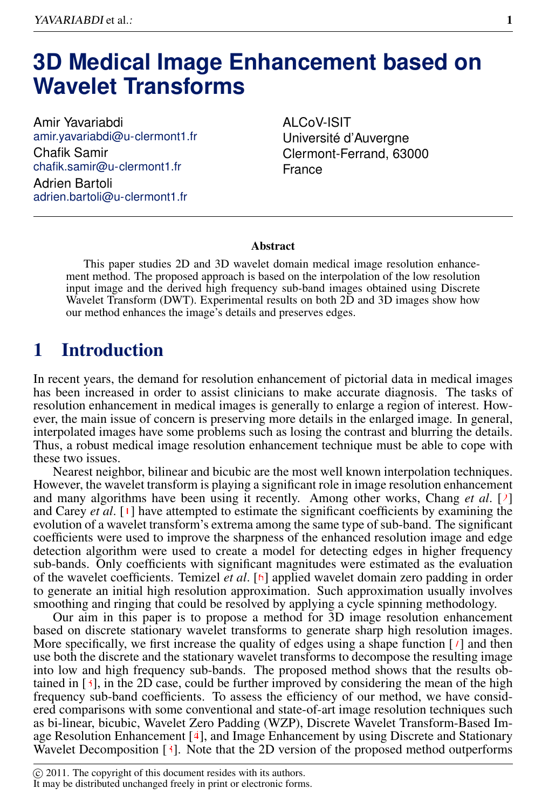# **3D Medical Image Enhancement based on Wavelet Transforms**

Amir Yavariabdi amir.yavariabdi@u-clermont1.fr Chafik Samir chafik.samir@u-clermont1.fr Adrien Bartoli adrien.bartoli@u-clermont1.fr

ALCoV-ISIT Université d'Auvergne Clermont-Ferrand, 63000 France

#### Abstract

This paper studies 2D and 3D wavelet domain medical image resolution enhancement method. The proposed approach is based on the interpolation of the low resolution input image and the derived high frequency sub-band images obtained using Discrete Wavelet Transform (DWT). Experimental results on both 2D and 3D images show how our method enhances the image's details and preserves edges.

## 1 Introduction

In recent years, the demand for resolution enhancement of pictorial data in medical images has been increased in order to assist clinicians to make accurate diagnosis. The tasks of resolution enhancement in medical images is generally to enlarge a region of interest. However, the main issue of concern is preserving more details in the enlarged image. In general, interpolated images have some problems such as losing the contrast and blurring the details. Thus, a robust medical image resolution enhancement technique must be able to cope with these two issues.

Nearest neighbor, bilinear and bicubic are the most well known interpolation techniques. However, the wavelet transform is playing a significant role in image resolution enhancement and many algorithms have been using it recently. Among other works, Chang *et al*. [2] and Carey *et al*. [1] have attempted to estimate the significant coefficients by examining the evolution of a wavelet transform's extrema among the same type of sub-band. The significant coefficients were used to improve the sharpness of the enhanced resolution image and edge detection algorithm were used to create a model for detecting edges in higher frequency sub-bands. Only coefficients with significant magnitudes were estimated as the evaluation of the wavelet coefficients. Temizel *et al*. [6] applied wavelet domain zero padding in order to generate an initial high resolution approximation. Such approximation usually involves smoothing and ringing that could be resolved by applying a cycle spinning methodology.

Our aim in this paper is to propose a method for 3D image resolution enhancement based on discrete stationary wavelet transforms to generate sharp high resolution images. More specifically, we first increase the quality of edges using a shape function  $\lceil \cdot \rceil$  and then use both the discrete and the stationary wavelet transforms to decompose the resulting image into low and high frequency sub-bands. The proposed method shows that the results obtained in  $[3]$ , in the 2D case, could be further improved by considering the mean of the high frequency sub-band coefficients. To assess the efficiency of our method, we have considered comparisons with some conventional and state-of-art image resolution techniques such as bi-linear, bicubic, Wavelet Zero Padding (WZP), Discrete Wavelet Transform-Based Image Resolution Enhancement [4], and Image Enhancement by using Discrete and Stationary Wavelet Decomposition [3]. Note that the 2D version of the proposed method outperforms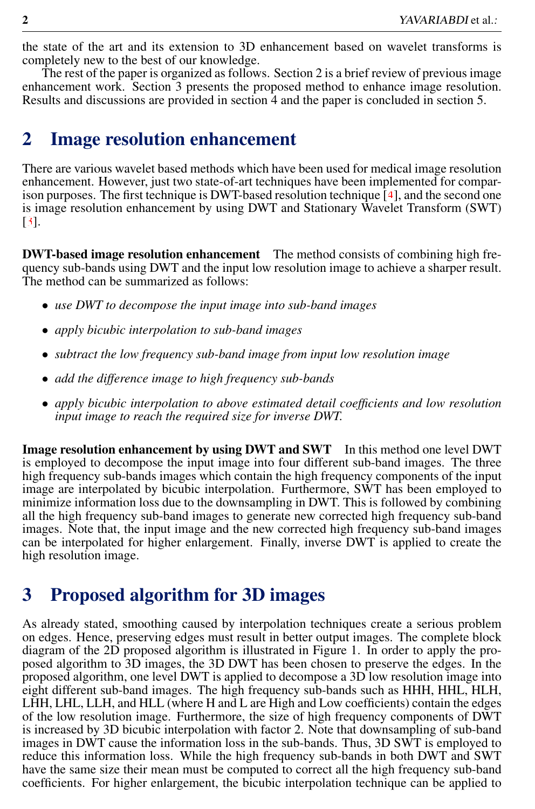the state of the art and its extension to 3D enhancement based on wavelet transforms is completely new to the best of our knowledge.

The rest of the paper is organized as follows. Section 2 is a brief review of previous image enhancement work. Section 3 presents the proposed method to enhance image resolution. Results and discussions are provided in section 4 and the paper is concluded in section 5.

#### 2 Image resolution enhancement

There are various wavelet based methods which have been used for medical image resolution enhancement. However, just two state-of-art techniques have been implemented for comparison purposes. The first technique is DWT-based resolution technique [4], and the second one is image resolution enhancement by using DWT and Stationary Wavelet Transform (SWT) [3].

DWT-based image resolution enhancement The method consists of combining high frequency sub-bands using DWT and the input low resolution image to achieve a sharper result. The method can be summarized as follows:

- *use DWT to decompose the input image into sub-band images*
- *apply bicubic interpolation to sub-band images*
- *subtract the low frequency sub-band image from input low resolution image*
- *add the difference image to high frequency sub-bands*
- *apply bicubic interpolation to above estimated detail coefficients and low resolution input image to reach the required size for inverse DWT.*

Image resolution enhancement by using DWT and SWT In this method one level DWT is employed to decompose the input image into four different sub-band images. The three high frequency sub-bands images which contain the high frequency components of the input image are interpolated by bicubic interpolation. Furthermore, SWT has been employed to minimize information loss due to the downsampling in DWT. This is followed by combining all the high frequency sub-band images to generate new corrected high frequency sub-band images. Note that, the input image and the new corrected high frequency sub-band images can be interpolated for higher enlargement. Finally, inverse DWT is applied to create the high resolution image.

# 3 Proposed algorithm for 3D images

As already stated, smoothing caused by interpolation techniques create a serious problem on edges. Hence, preserving edges must result in better output images. The complete block diagram of the 2D proposed algorithm is illustrated in Figure 1. In order to apply the proposed algorithm to 3D images, the 3D DWT has been chosen to preserve the edges. In the proposed algorithm, one level DWT is applied to decompose a 3D low resolution image into eight different sub-band images. The high frequency sub-bands such as HHH, HHL, HLH, LHH, LHL, LLH, and HLL (where H and L are High and Low coefficients) contain the edges of the low resolution image. Furthermore, the size of high frequency components of DWT is increased by 3D bicubic interpolation with factor 2. Note that downsampling of sub-band images in DWT cause the information loss in the sub-bands. Thus, 3D SWT is employed to reduce this information loss. While the high frequency sub-bands in both DWT and SWT have the same size their mean must be computed to correct all the high frequency sub-band coefficients. For higher enlargement, the bicubic interpolation technique can be applied to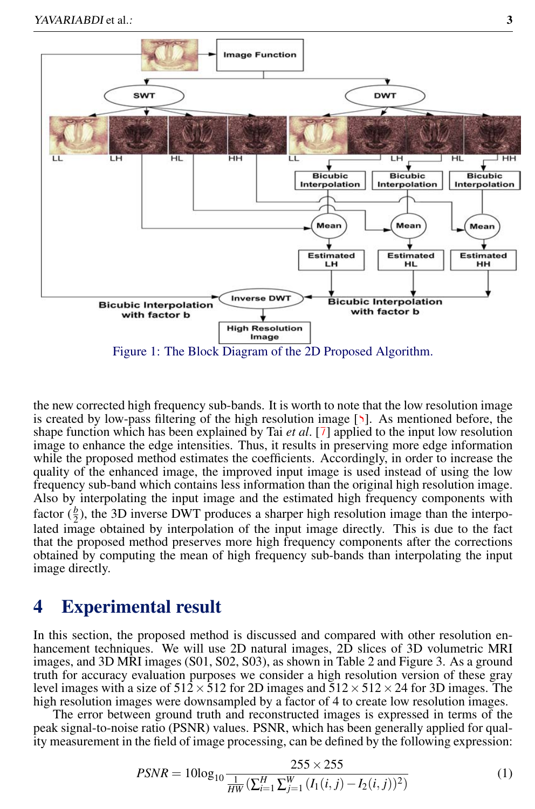

the new corrected high frequency sub-bands. It is worth to note that the low resolution image is created by low-pass filtering of the high resolution image [5]. As mentioned before, the shape function which has been explained by Tai *et al*. [7] applied to the input low resolution image to enhance the edge intensities. Thus, it results in preserving more edge information while the proposed method estimates the coefficients. Accordingly, in order to increase the quality of the enhanced image, the improved input image is used instead of using the low frequency sub-band which contains less information than the original high resolution image. Also by interpolating the input image and the estimated high frequency components with factor  $(\frac{b}{2})$ , the 3D inverse DWT produces a sharper high resolution image than the interpolated image obtained by interpolation of the input image directly. This is due to the fact that the proposed method preserves more high frequency components after the corrections obtained by computing the mean of high frequency sub-bands than interpolating the input image directly.

### 4 Experimental result

In this section, the proposed method is discussed and compared with other resolution enhancement techniques. We will use 2D natural images, 2D slices of 3D volumetric MRI images, and 3D MRI images (S01, S02, S03), as shown in Table 2 and Figure 3. As a ground truth for accuracy evaluation purposes we consider a high resolution version of these gray level images with a size of  $512 \times 512$  for 2D images and  $512 \times 512 \times 24$  for 3D images. The high resolution images were downsampled by a factor of 4 to create low resolution images.

The error between ground truth and reconstructed images is expressed in terms of the peak signal-to-noise ratio (PSNR) values. PSNR, which has been generally applied for quality measurement in the field of image processing, can be defined by the following expression:

$$
PSNR = 10\log_{10}\frac{255 \times 255}{\frac{1}{HW}(\sum_{i=1}^{H}\sum_{j=1}^{W}\left(I_1(i,j) - I_2(i,j)\right)^2)}
$$
(1)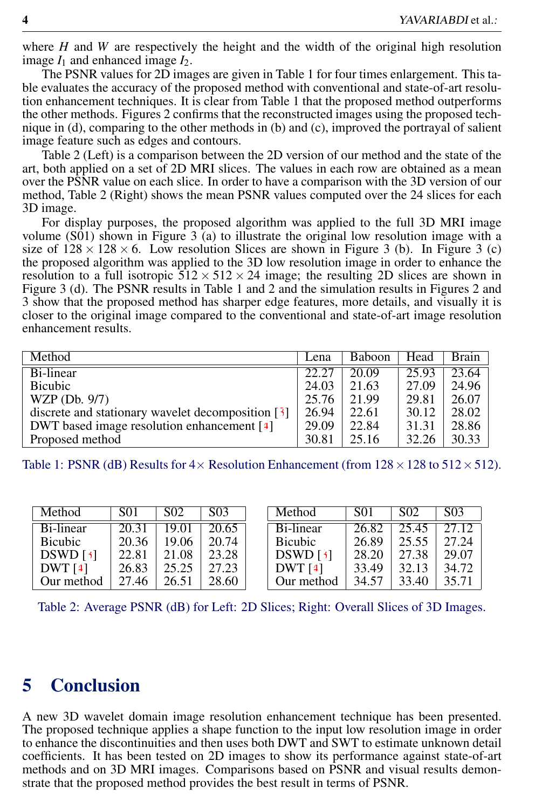where *H* and *W* are respectively the height and the width of the original high resolution image  $I_1$  and enhanced image  $I_2$ .

The PSNR values for 2D images are given in Table 1 for four times enlargement. This table evaluates the accuracy of the proposed method with conventional and state-of-art resolution enhancement techniques. It is clear from Table 1 that the proposed method outperforms the other methods. Figures 2 confirms that the reconstructed images using the proposed technique in (d), comparing to the other methods in (b) and (c), improved the portrayal of salient image feature such as edges and contours.

Table 2 (Left) is a comparison between the 2D version of our method and the state of the art, both applied on a set of 2D MRI slices. The values in each row are obtained as a mean over the PSNR value on each slice. In order to have a comparison with the 3D version of our method, Table 2 (Right) shows the mean PSNR values computed over the 24 slices for each 3D image.

For display purposes, the proposed algorithm was applied to the full 3D MRI image volume (S01) shown in Figure 3 (a) to illustrate the original low resolution image with a size of  $128 \times 128 \times 6$ . Low resolution Slices are shown in Figure 3 (b). In Figure 3 (c) the proposed algorithm was applied to the 3D low resolution image in order to enhance the resolution to a full isotropic  $512 \times 512 \times 24$  image; the resulting 2D slices are shown in Figure 3 (d). The PSNR results in Table 1 and 2 and the simulation results in Figures 2 and 3 show that the proposed method has sharper edge features, more details, and visually it is closer to the original image compared to the conventional and state-of-art image resolution enhancement results.

| Method                                              | Lena  | Baboon | Head  | <b>Brain</b> |
|-----------------------------------------------------|-------|--------|-------|--------------|
| Bi-linear                                           | 22.27 | 20.09  | 25.93 | 23.64        |
| <b>Bicubic</b>                                      | 24.03 | 21.63  | 27.09 | 24.96        |
| WZP (Db. 9/7)                                       | 25.76 | 21.99  | 29.81 | 26.07        |
| discrete and stationary wavelet decomposition $[3]$ | 26.94 | 22.61  | 30.12 | 28.02        |
| DWT based image resolution enhancement [4]          | 29.09 | 22.84  | 31.31 | 28.86        |
| Proposed method                                     | 30.81 | 25.16  | 32.26 | 30.33        |

Table 1: PSNR (dB) Results for  $4\times$  Resolution Enhancement (from  $128\times128$  to  $512\times512$ ).

| Method         | <b>SO1</b> | SO <sub>2</sub> | S <sub>03</sub> | Method         | S01   | S <sub>02</sub> | S <sub>0</sub> 3 |
|----------------|------------|-----------------|-----------------|----------------|-------|-----------------|------------------|
| Bi-linear      | 20.31      | 19.01           | 20.65           | Bi-linear      | 26.82 | 25.45           | 27.12.           |
| <b>Bicubic</b> | 20.36      | 19.06           | 20.74           | <b>Bicubic</b> | 26.89 | 25.55           | 27.24            |
| DSWD[3]        | 22.81      | 21.08           | 23.28           | DSWD[3]        | 28.20 | 27.38           | 29.07            |
| DWT[4]         | 26.83      | 25.25           | 27.23           | DWT[4]         | 33.49 | 32.13           | 34.72            |
| Our method     | 27.46      | 26.51           | 28.60           | Our method     | 34.57 | 33.40           | 35.71            |

Table 2: Average PSNR (dB) for Left: 2D Slices; Right: Overall Slices of 3D Images.

#### 5 Conclusion

A new 3D wavelet domain image resolution enhancement technique has been presented. The proposed technique applies a shape function to the input low resolution image in order to enhance the discontinuities and then uses both DWT and SWT to estimate unknown detail coefficients. It has been tested on 2D images to show its performance against state-of-art methods and on 3D MRI images. Comparisons based on PSNR and visual results demonstrate that the proposed method provides the best result in terms of PSNR.